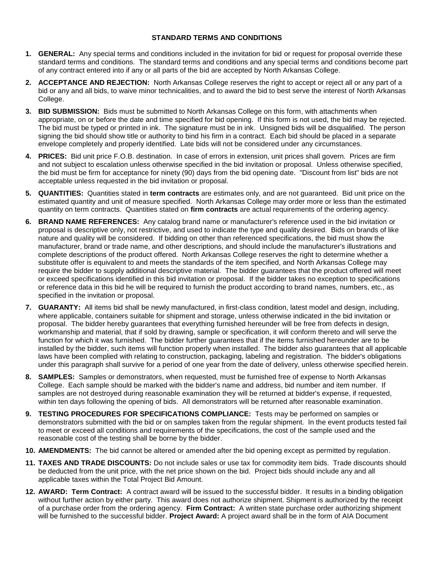## **STANDARD TERMS AND CONDITIONS**

- **1. GENERAL:** Any special terms and conditions included in the invitation for bid or request for proposal override these standard terms and conditions. The standard terms and conditions and any special terms and conditions become part of any contract entered into if any or all parts of the bid are accepted by North Arkansas College.
- **2. ACCEPTANCE AND REJECTION:** North Arkansas College reserves the right to accept or reject all or any part of a bid or any and all bids, to waive minor technicalities, and to award the bid to best serve the interest of North Arkansas College.
- **3. BID SUBMISSION:** Bids must be submitted to North Arkansas College on this form, with attachments when appropriate, on or before the date and time specified for bid opening. If this form is not used, the bid may be rejected. The bid must be typed or printed in ink. The signature must be in ink. Unsigned bids will be disqualified. The person signing the bid should show title or authority to bind his firm in a contract. Each bid should be placed in a separate envelope completely and properly identified. Late bids will not be considered under any circumstances.
- **4. PRICES:** Bid unit price F.O.B. destination. In case of errors in extension, unit prices shall govern. Prices are firm and not subject to escalation unless otherwise specified in the bid invitation or proposal. Unless otherwise specified, the bid must be firm for acceptance for ninety (90) days from the bid opening date. "Discount from list" bids are not acceptable unless requested in the bid invitation or proposal.
- **5. QUANTITIES:** Quantities stated in **term contracts** are estimates only, and are not guaranteed. Bid unit price on the estimated quantity and unit of measure specified. North Arkansas College may order more or less than the estimated quantity on term contracts. Quantities stated on **firm contracts** are actual requirements of the ordering agency.
- **6. BRAND NAME REFERENCES:** Any catalog brand name or manufacturer's reference used in the bid invitation or proposal is descriptive only, not restrictive, and used to indicate the type and quality desired. Bids on brands of like nature and quality will be considered. If bidding on other than referenced specifications, the bid must show the manufacturer, brand or trade name, and other descriptions, and should include the manufacturer's illustrations and complete descriptions of the product offered. North Arkansas College reserves the right to determine whether a substitute offer is equivalent to and meets the standards of the item specified, and North Arkansas College may require the bidder to supply additional descriptive material. The bidder guarantees that the product offered will meet or exceed specifications identified in this bid invitation or proposal. If the bidder takes no exception to specifications or reference data in this bid he will be required to furnish the product according to brand names, numbers, etc., as specified in the invitation or proposal.
- **7. GUARANTY:** All items bid shall be newly manufactured, in first-class condition, latest model and design, including, where applicable, containers suitable for shipment and storage, unless otherwise indicated in the bid invitation or proposal. The bidder hereby guarantees that everything furnished hereunder will be free from defects in design, workmanship and material, that if sold by drawing, sample or specification, it will conform thereto and will serve the function for which it was furnished. The bidder further guarantees that if the items furnished hereunder are to be installed by the bidder, such items will function properly when installed. The bidder also guarantees that all applicable laws have been complied with relating to construction, packaging, labeling and registration. The bidder's obligations under this paragraph shall survive for a period of one year from the date of delivery, unless otherwise specified herein.
- **8. SAMPLES:** Samples or demonstrators, when requested, must be furnished free of expense to North Arkansas College. Each sample should be marked with the bidder's name and address, bid number and item number. If samples are not destroyed during reasonable examination they will be returned at bidder's expense, if requested, within ten days following the opening of bids. All demonstrators will be returned after reasonable examination.
- **9. TESTING PROCEDURES FOR SPECIFICATIONS COMPLIANCE:** Tests may be performed on samples or demonstrators submitted with the bid or on samples taken from the regular shipment. In the event products tested fail to meet or exceed all conditions and requirements of the specifications, the cost of the sample used and the reasonable cost of the testing shall be borne by the bidder.
- **10. AMENDMENTS:** The bid cannot be altered or amended after the bid opening except as permitted by regulation.
- **11. TAXES AND TRADE DISCOUNTS:** Do not include sales or use tax for commodity item bids. Trade discounts should be deducted from the unit price, with the net price shown on the bid. Project bids should include any and all applicable taxes within the Total Project Bid Amount.
- **12. AWARD: Term Contract:** A contract award will be issued to the successful bidder. It results in a binding obligation without further action by either party. This award does not authorize shipment. Shipment is authorized by the receipt of a purchase order from the ordering agency. **Firm Contract:** A written state purchase order authorizing shipment will be furnished to the successful bidder. **Project Award:** A project award shall be in the form of AIA Document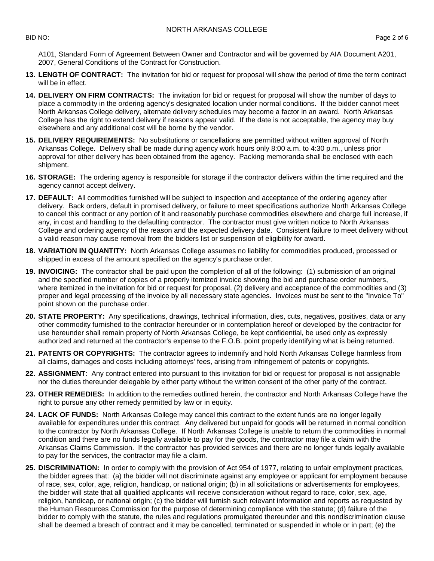A101, Standard Form of Agreement Between Owner and Contractor and will be governed by AIA Document A201, 2007, General Conditions of the Contract for Construction.

- **13. LENGTH OF CONTRACT:** The invitation for bid or request for proposal will show the period of time the term contract will be in effect.
- **14. DELIVERY ON FIRM CONTRACTS:** The invitation for bid or request for proposal will show the number of days to place a commodity in the ordering agency's designated location under normal conditions. If the bidder cannot meet North Arkansas College delivery, alternate delivery schedules may become a factor in an award. North Arkansas College has the right to extend delivery if reasons appear valid. If the date is not acceptable, the agency may buy elsewhere and any additional cost will be borne by the vendor.
- **15. DELIVERY REQUIREMENTS:** No substitutions or cancellations are permitted without written approval of North Arkansas College. Delivery shall be made during agency work hours only 8:00 a.m. to 4:30 p.m., unless prior approval for other delivery has been obtained from the agency. Packing memoranda shall be enclosed with each shipment.
- **16. STORAGE:** The ordering agency is responsible for storage if the contractor delivers within the time required and the agency cannot accept delivery.
- **17. DEFAULT:** All commodities furnished will be subject to inspection and acceptance of the ordering agency after delivery. Back orders, default in promised delivery, or failure to meet specifications authorize North Arkansas College to cancel this contract or any portion of it and reasonably purchase commodities elsewhere and charge full increase, if any, in cost and handling to the defaulting contractor. The contractor must give written notice to North Arkansas College and ordering agency of the reason and the expected delivery date. Consistent failure to meet delivery without a valid reason may cause removal from the bidders list or suspension of eligibility for award.
- **18. VARIATION IN QUANTITY:** North Arkansas College assumes no liability for commodities produced, processed or shipped in excess of the amount specified on the agency's purchase order.
- **19. INVOICING:** The contractor shall be paid upon the completion of all of the following: (1) submission of an original and the specified number of copies of a properly itemized invoice showing the bid and purchase order numbers, where itemized in the invitation for bid or request for proposal, (2) delivery and acceptance of the commodities and (3) proper and legal processing of the invoice by all necessary state agencies. Invoices must be sent to the "Invoice To" point shown on the purchase order.
- **20. STATE PROPERTY:** Any specifications, drawings, technical information, dies, cuts, negatives, positives, data or any other commodity furnished to the contractor hereunder or in contemplation hereof or developed by the contractor for use hereunder shall remain property of North Arkansas College, be kept confidential, be used only as expressly authorized and returned at the contractor's expense to the F.O.B. point properly identifying what is being returned.
- **21. PATENTS OR COPYRIGHTS:** The contractor agrees to indemnify and hold North Arkansas College harmless from all claims, damages and costs including attorneys' fees, arising from infringement of patents or copyrights.
- **22. ASSIGNMENT**: Any contract entered into pursuant to this invitation for bid or request for proposal is not assignable nor the duties thereunder delegable by either party without the written consent of the other party of the contract.
- **23. OTHER REMEDIES:** In addition to the remedies outlined herein, the contractor and North Arkansas College have the right to pursue any other remedy permitted by law or in equity.
- **24. LACK OF FUNDS:** North Arkansas College may cancel this contract to the extent funds are no longer legally available for expenditures under this contract. Any delivered but unpaid for goods will be returned in normal condition to the contractor by North Arkansas College. If North Arkansas College is unable to return the commodities in normal condition and there are no funds legally available to pay for the goods, the contractor may file a claim with the Arkansas Claims Commission. If the contractor has provided services and there are no longer funds legally available to pay for the services, the contractor may file a claim.
- **25. DISCRIMINATION:** In order to comply with the provision of Act 954 of 1977, relating to unfair employment practices, the bidder agrees that: (a) the bidder will not discriminate against any employee or applicant for employment because of race, sex, color, age, religion, handicap, or national origin; (b) in all solicitations or advertisements for employees, the bidder will state that all qualified applicants will receive consideration without regard to race, color, sex, age, religion, handicap, or national origin; (c) the bidder will furnish such relevant information and reports as requested by the Human Resources Commission for the purpose of determining compliance with the statute; (d) failure of the bidder to comply with the statute, the rules and regulations promulgated thereunder and this nondiscrimination clause shall be deemed a breach of contract and it may be cancelled, terminated or suspended in whole or in part; (e) the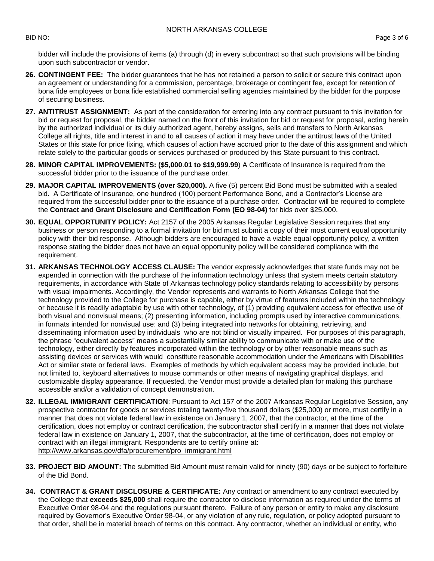bidder will include the provisions of items (a) through (d) in every subcontract so that such provisions will be binding upon such subcontractor or vendor.

- **26. CONTINGENT FEE:** The bidder guarantees that he has not retained a person to solicit or secure this contract upon an agreement or understanding for a commission, percentage, brokerage or contingent fee, except for retention of bona fide employees or bona fide established commercial selling agencies maintained by the bidder for the purpose of securing business.
- **27. ANTITRUST ASSIGNMENT:** As part of the consideration for entering into any contract pursuant to this invitation for bid or request for proposal, the bidder named on the front of this invitation for bid or request for proposal, acting herein by the authorized individual or its duly authorized agent, hereby assigns, sells and transfers to North Arkansas College all rights, title and interest in and to all causes of action it may have under the antitrust laws of the United States or this state for price fixing, which causes of action have accrued prior to the date of this assignment and which relate solely to the particular goods or services purchased or produced by this State pursuant to this contract.
- **28. MINOR CAPITAL IMPROVEMENTS: (\$5,000**.**01 to \$19,999.99**) A Certificate of Insurance is required from the successful bidder prior to the issuance of the purchase order.
- **29. MAJOR CAPITAL IMPROVEMENTS (over \$20,000).** A five (5) percent Bid Bond must be submitted with a sealed bid. A Certificate of Insurance, one hundred (100) percent Performance Bond, and a Contractor's License are required from the successful bidder prior to the issuance of a purchase order. Contractor will be required to complete the **Contract and Grant Disclosure and Certification Form (EO 98-04)** for bids over \$25,000.
- **30. EQUAL OPPORTUNITY POLICY:** Act 2157 of the 2005 Arkansas Regular Legislative Session requires that any business or person responding to a formal invitation for bid must submit a copy of their most current equal opportunity policy with their bid response. Although bidders are encouraged to have a viable equal opportunity policy, a written response stating the bidder does not have an equal opportunity policy will be considered compliance with the requirement.
- **31. ARKANSAS TECHNOLOGY ACCESS CLAUSE:** The vendor expressly acknowledges that state funds may not be expended in connection with the purchase of the information technology unless that system meets certain statutory requirements, in accordance with State of Arkansas technology policy standards relating to accessibility by persons with visual impairments. Accordingly, the Vendor represents and warrants to North Arkansas College that the technology provided to the College for purchase is capable, either by virtue of features included within the technology or because it is readily adaptable by use with other technology, of (1) providing equivalent access for effective use of both visual and nonvisual means; (2) presenting information, including prompts used by interactive communications, in formats intended for nonvisual use: and (3) being integrated into networks for obtaining, retrieving, and disseminating information used by individuals who are not blind or visually impaired. For purposes of this paragraph, the phrase "equivalent access" means a substantially similar ability to communicate with or make use of the technology, either directly by features incorporated within the technology or by other reasonable means such as assisting devices or services with would constitute reasonable accommodation under the Americans with Disabilities Act or similar state or federal laws. Examples of methods by which equivalent access may be provided include, but not limited to, keyboard alternatives to mouse commands or other means of navigating graphical displays, and customizable display appearance. If requested, the Vendor must provide a detailed plan for making this purchase accessible and/or a validation of concept demonstration.
- **32. ILLEGAL IMMIGRANT CERTIFICATION**: Pursuant to Act 157 of the 2007 Arkansas Regular Legislative Session, any prospective contractor for goods or services totaling twenty-five thousand dollars (\$25,000) or more, must certify in a manner that does not violate federal law in existence on January 1, 2007, that the contractor, at the time of the certification, does not employ or contract certification, the subcontractor shall certify in a manner that does not violate federal law in existence on January 1, 2007, that the subcontractor, at the time of certification, does not employ or contract with an illegal immigrant. Respondents are to certify online at: [http://www.arkansas.gov/dfa/procurement/pro\\_immigrant.html](http://www.arkansas.gov/dfa/procurement/pro_immigrant.html)
- **33. PROJECT BID AMOUNT:** The submitted Bid Amount must remain valid for ninety (90) days or be subject to forfeiture of the Bid Bond.
- **34. CONTRACT & GRANT DISCLOSURE & CERTIFICATE:** Any contract or amendment to any contract executed by the College that **exceeds \$25,000** shall require the contractor to disclose information as required under the terms of Executive Order 98-04 and the regulations pursuant thereto. Failure of any person or entity to make any disclosure required by Governor's Executive Order 98-04, or any violation of any rule, regulation, or policy adopted pursuant to that order, shall be in material breach of terms on this contract. Any contractor, whether an individual or entity, who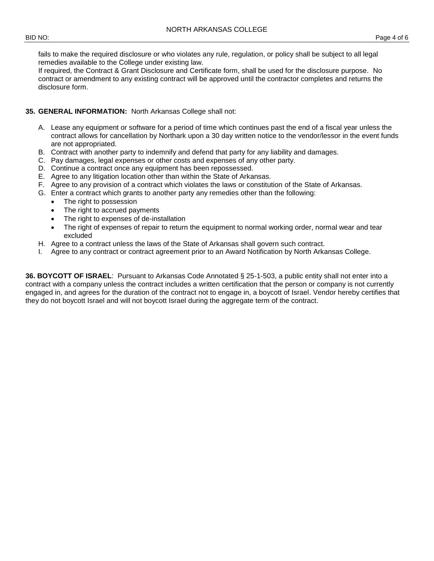fails to make the required disclosure or who violates any rule, regulation, or policy shall be subject to all legal remedies available to the College under existing law.

If required, the Contract & Grant Disclosure and Certificate form, shall be used for the disclosure purpose. No contract or amendment to any existing contract will be approved until the contractor completes and returns the disclosure form.

## **35. GENERAL INFORMATION:** North Arkansas College shall not:

- A. Lease any equipment or software for a period of time which continues past the end of a fiscal year unless the contract allows for cancellation by Northark upon a 30 day written notice to the vendor/lessor in the event funds are not appropriated.
- B. Contract with another party to indemnify and defend that party for any liability and damages.
- C. Pay damages, legal expenses or other costs and expenses of any other party.
- D. Continue a contract once any equipment has been repossessed.
- E. Agree to any litigation location other than within the State of Arkansas.
- F. Agree to any provision of a contract which violates the laws or constitution of the State of Arkansas.
- G. Enter a contract which grants to another party any remedies other than the following:
	- The right to possession
	- The right to accrued payments
	- The right to expenses of de-installation
	- The right of expenses of repair to return the equipment to normal working order, normal wear and tear excluded
- H. Agree to a contract unless the laws of the State of Arkansas shall govern such contract.
- I. Agree to any contract or contract agreement prior to an Award Notification by North Arkansas College.

**36. BOYCOTT OF ISRAEL**: Pursuant to Arkansas Code Annotated § 25-1-503, a public entity shall not enter into a contract with a company unless the contract includes a written certification that the person or company is not currently engaged in, and agrees for the duration of the contract not to engage in, a boycott of Israel. Vendor hereby certifies that they do not boycott Israel and will not boycott Israel during the aggregate term of the contract.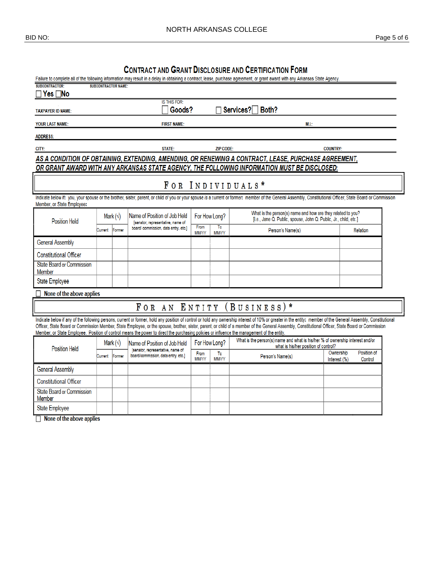## **CONTRACT AND GRANT DISCLOSURE AND CERTIFICATION FORM**

| Failure to complete all of the following information may result in a delay in obtaining a contract, lease, purchase agreement, or grant award with any Arkansas State Agency.                                                                                                                                                                                                                                                                                                                                                                                       |                  |        |                                                                          |                      |                                     |                                                                                                                                 |                           |                        |  |
|---------------------------------------------------------------------------------------------------------------------------------------------------------------------------------------------------------------------------------------------------------------------------------------------------------------------------------------------------------------------------------------------------------------------------------------------------------------------------------------------------------------------------------------------------------------------|------------------|--------|--------------------------------------------------------------------------|----------------------|-------------------------------------|---------------------------------------------------------------------------------------------------------------------------------|---------------------------|------------------------|--|
| <b>SUBCONTRACTOR:</b><br><b>SUBCONTRACTOR NAME:</b><br><b>Yes</b> ∏No                                                                                                                                                                                                                                                                                                                                                                                                                                                                                               |                  |        |                                                                          |                      |                                     |                                                                                                                                 |                           |                        |  |
| <b>IS THIS FOR:</b>                                                                                                                                                                                                                                                                                                                                                                                                                                                                                                                                                 |                  |        |                                                                          |                      |                                     |                                                                                                                                 |                           |                        |  |
| <b>TAXPAYER ID NAME:</b>                                                                                                                                                                                                                                                                                                                                                                                                                                                                                                                                            |                  |        | Goods?                                                                   |                      |                                     | Services?<br>Both?                                                                                                              |                           |                        |  |
| <b>FIRST NAME:</b><br><b>YOUR LAST NAME:</b><br>M.L:                                                                                                                                                                                                                                                                                                                                                                                                                                                                                                                |                  |        |                                                                          |                      |                                     |                                                                                                                                 |                           |                        |  |
| <b>ADDRESS:</b>                                                                                                                                                                                                                                                                                                                                                                                                                                                                                                                                                     |                  |        |                                                                          |                      |                                     |                                                                                                                                 |                           |                        |  |
| <b>STATE:</b><br>CITY:                                                                                                                                                                                                                                                                                                                                                                                                                                                                                                                                              |                  |        |                                                                          |                      | <b>ZIP CODE:</b><br><b>COUNTRY:</b> |                                                                                                                                 |                           |                        |  |
| AS A CONDITION OF OBTAINING, EXTENDING, AMENDING, OR RENEWING A CONTRACT, LEASE, PURCHASE AGREEMENT,                                                                                                                                                                                                                                                                                                                                                                                                                                                                |                  |        |                                                                          |                      |                                     |                                                                                                                                 |                           |                        |  |
| OR GRANT AWARD WITH ANY ARKANSAS STATE AGENCY, THE FOLLOWING INFORMATION MUST BE DISCLOSED:                                                                                                                                                                                                                                                                                                                                                                                                                                                                         |                  |        |                                                                          |                      |                                     |                                                                                                                                 |                           |                        |  |
| FOR INDIVIDUALS*                                                                                                                                                                                                                                                                                                                                                                                                                                                                                                                                                    |                  |        |                                                                          |                      |                                     |                                                                                                                                 |                           |                        |  |
| Indicate below if: you, your spouse or the brother, sister, parent, or child of you or your spouse is a current or former: member of the General Assembly, Constitutional Officer, State Board or Commission<br>Member, or State Employee:                                                                                                                                                                                                                                                                                                                          |                  |        |                                                                          |                      |                                     |                                                                                                                                 |                           |                        |  |
| <b>Position Held</b>                                                                                                                                                                                                                                                                                                                                                                                                                                                                                                                                                | Mark $(\sqrt{})$ |        | Name of Position of Job Held<br>[senator, representative, name of        | For How Long?        |                                     | What is the person(s) name and how are they related to you?<br>[i.e., Jane Q. Public, spouse, John Q. Public, Jr., child, etc.] |                           |                        |  |
|                                                                                                                                                                                                                                                                                                                                                                                                                                                                                                                                                                     | Current          | Former | board/ commission, data entry, etc.]                                     | From<br><b>MM/YY</b> | To<br><b>MM/YY</b>                  | Person's Name(s)                                                                                                                |                           | Relation               |  |
| <b>General Assembly</b>                                                                                                                                                                                                                                                                                                                                                                                                                                                                                                                                             |                  |        |                                                                          |                      |                                     |                                                                                                                                 |                           |                        |  |
| <b>Constitutional Officer</b>                                                                                                                                                                                                                                                                                                                                                                                                                                                                                                                                       |                  |        |                                                                          |                      |                                     |                                                                                                                                 |                           |                        |  |
| <b>State Board or Commission</b><br>Member                                                                                                                                                                                                                                                                                                                                                                                                                                                                                                                          |                  |        |                                                                          |                      |                                     |                                                                                                                                 |                           |                        |  |
| State Employee                                                                                                                                                                                                                                                                                                                                                                                                                                                                                                                                                      |                  |        |                                                                          |                      |                                     |                                                                                                                                 |                           |                        |  |
| None of the above applies                                                                                                                                                                                                                                                                                                                                                                                                                                                                                                                                           |                  |        |                                                                          |                      |                                     |                                                                                                                                 |                           |                        |  |
| FOR AN ENTITY (BUSINESS)*                                                                                                                                                                                                                                                                                                                                                                                                                                                                                                                                           |                  |        |                                                                          |                      |                                     |                                                                                                                                 |                           |                        |  |
| Indicate below if any of the following persons, current or former, hold any position of control or hold any ownership interest of 10% or greater in the entity: member of the General Assembly, Constitutional<br>Officer, State Board or Commission Member, State Employee, or the spouse, brother, sister, parent, or child of a member of the General Assembly, Constitutional Officer, State Board or Commission<br>Member, or State Employee. Position of control means the power to direct the purchasing policies or influence the management of the entity. |                  |        |                                                                          |                      |                                     |                                                                                                                                 |                           |                        |  |
| <b>Position Held</b>                                                                                                                                                                                                                                                                                                                                                                                                                                                                                                                                                | Mark $(\sqrt{})$ |        | Name of Position of Job Held                                             | For How Long?        |                                     | What is the person(s) name and what is his/her % of ownership interest and/or<br>what is his/her position of control?           |                           |                        |  |
|                                                                                                                                                                                                                                                                                                                                                                                                                                                                                                                                                                     | Current          | Former | [senator, representative, name of<br>board/commission, data entry, etc.] | From<br><b>MM/YY</b> | To<br><b>MM/YY</b>                  | Person's Name(s)                                                                                                                | Ownership<br>Interest (%) | Position of<br>Control |  |
| <b>General Assembly</b>                                                                                                                                                                                                                                                                                                                                                                                                                                                                                                                                             |                  |        |                                                                          |                      |                                     |                                                                                                                                 |                           |                        |  |
| <b>Constitutional Officer</b>                                                                                                                                                                                                                                                                                                                                                                                                                                                                                                                                       |                  |        |                                                                          |                      |                                     |                                                                                                                                 |                           |                        |  |
| <b>State Board or Commission</b><br>Member                                                                                                                                                                                                                                                                                                                                                                                                                                                                                                                          |                  |        |                                                                          |                      |                                     |                                                                                                                                 |                           |                        |  |
| <b>State Employee</b>                                                                                                                                                                                                                                                                                                                                                                                                                                                                                                                                               |                  |        |                                                                          |                      |                                     |                                                                                                                                 |                           |                        |  |

 $\Box$  None of the above applies